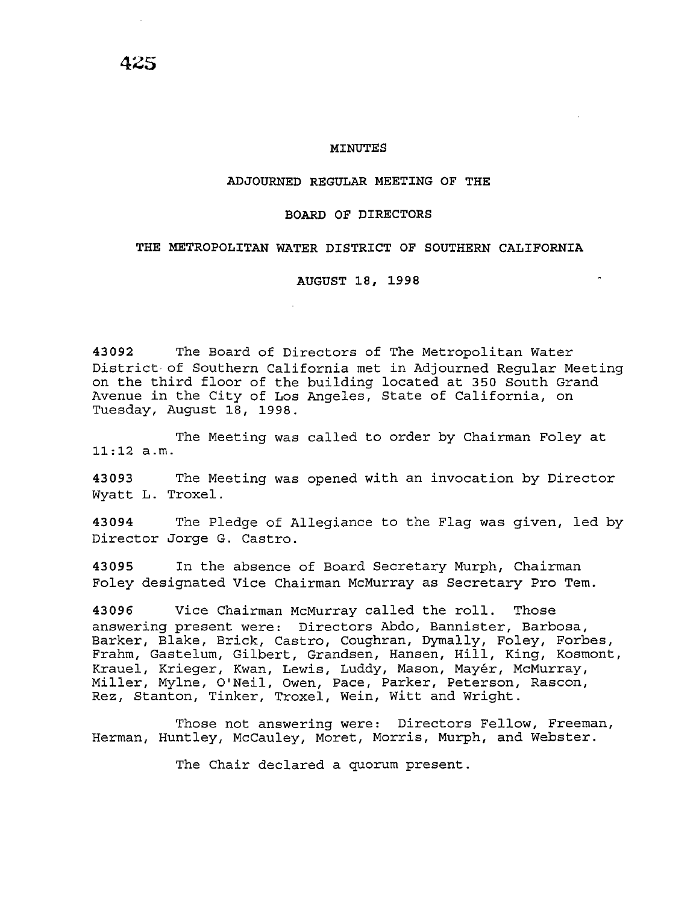#### **MINUTES**

#### **ADJOURNED REGULAR MEETING OF THE**

### **BOARD OF DIRECTORS**

### **THE METROPOLITAN WATER DISTRICT OF SOUTHERN CALIFORNIA**

**AUGUST 18, 1998** 

**43092** The Board of Directors of The Metropolitan Water District of Southern California met in Adjourned Regular Meeting on the third floor of the building located at 350 South Grand Avenue in the City of Los Angeles, State of California, on Tuesday, August 18, 1998.

The Meeting was called to order by Chairman Foley at 11:12 a.m.

**43093** The Meeting was opened with an invocation by Director Wyatt L. Troxel.

**43094** The Pledge of Allegiance to the Flag was given, led by Director Jorge G. Castro.

**43095** In the absence of Board Secretary Murph, Chairman Foley designated Vice Chairman McMurray as Secretary Pro Tem.

**43096** Vice Chairman McMurray called the roll. Those answering present were: Directors Abdo, Bannister, Barbosa, Barker, Blake, Brick, Castro, Coughran, Dymally, Foley, Forbes, Frahm, Gastelum, Gilbert, Grandsen, Hansen, Hill, King, Kosmont, Krauel, Krieger, Kwan, Lewis, Luddy, Mason, Mayer, McMurray, Miller, Mylne, O'Neil, Owen, Pace, Parker, Peterson, Rascon, Rez, Stanton, Tinker, Troxel, Wein, Witt and Wright.

Those not answering were: Directors Fellow, Freeman, Herman, Huntley, McCauley, Moret, Morris, Murph, and Webster.

The Chair declared a quorum present.

**425**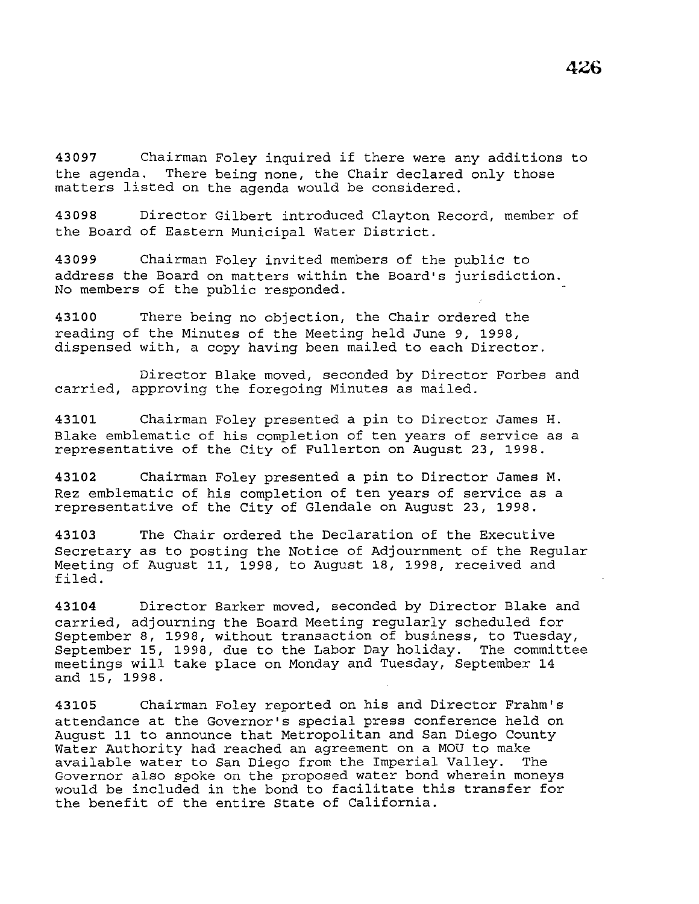**<sup>43097</sup>**Chairman Foley inquired if there were any additions to the agenda. There being none, the Chair declared only those matters listed on the agenda would be considered.

**43098** Director Gilbert introduced Clayton Record, member of the Board of Eastern Municipal Water District.

**43099** Chairman Foley invited members of the public to address the Board on matters within the Board's jurisdiction. No members of the public responded.

**43100** There being no objection, the Chair ordered the reading of the Minutes of the Meeting held June 9, 1998, dispensed with, a copy having been mailed to each Director.

Director Blake moved, seconded by Director Forbes and carried, approving the foregoing Minutes as mailed.

**43101** Chairman Foley presented a pin to Director James H. Blake emblematic of his completion of ten years of service as a representative of the City of Fullerton on August 23, 1998.

**43102** Chairman Foley presented a pin to Director James M. Rez emblematic of his completion of ten years of service as a representative of the City of Glendale on August 23, 1998.

**43103** The Chair ordered the Declaration of the Executive Secretary as to posting the Notice of Adjournment of the Regular Meeting of August 11, 1998, to August 18, 1998, received and filed.

**43104** Director Barker moved, seconded by Director Blake and carried, adjourning the Board Meeting regularly scheduled for September 8, 1998, without transaction of business, to Tuesday, September 15, 1998, due to the Labor Day holiday. The committee meetings will take place on Monday and Tuesday, September 14 and 15, 1998.

**43105** Chairman Foley reported on his and Director Frahm's attendance at the Governor's special press conference held on August 11 to announce that Metropolitan and San Diego County Water Authority had reached an agreement on a MOU to make<br>available water to San Diego from the Imperial Valley. The available water to San Diego from the Imperial Valley. Governor also spoke on the proposed water bond wherein moneys would be included in the bond to facilitate this transfer for the benefit of the entire State of California.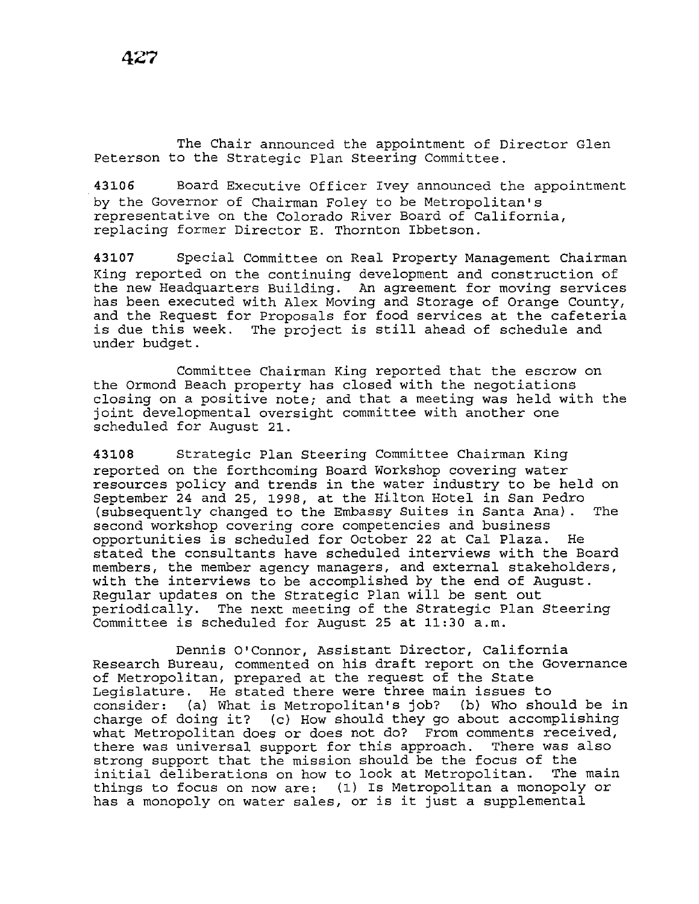The Chair announced the appointment of Director Glen Peterson to the Strategic Plan Steering Committee.

**43106** Board Executive Officer Ivey announced the appointment by the Governor of Chairman Foley to be Metropolitan's representative on the Colorado River Board of California, replacing former Director E. Thornton Ibbetson.

**43107** Special Committee on Real Property Management Chairman King reported on the continuing development and construction of the new Headquarters Building. An agreement for moving services has been executed with Alex Moving and Storage of Orange County, and the Request for Proposals for food services at the cafeteria *is* due this week. The project is still ahead of schedule and under budget.

Committee Chairman King reported that the escrow on the Ormond Beach property has closed with the negotiations closing on a positive note; and that a meeting was held with the joint developmental oversight committee with another one scheduled for August 21.

**43108** Strategic Plan Steering Committee Chairman King reported on the forthcoming Board Workshop covering water resources policy and trends in the water industry to be held on September 24 and 25, 1998, at the Hilton Hotel in San Pedro (subsequently changed to the Embassy Suites in Santa Ana) . The second workshop covering core competencies and business opportunities is scheduled for October 22 at Cal Plaza. He stated the consultants have scheduled interviews with the Board members, the member agency managers, and external stakeholders, with the interviews to be accomplished by the end of August. Regular updates on the Strategic Plan will be sent out periodically. The next meeting of the Strategic Plan Steering Committee is scheduled for August 25 at 11:30 a.m.

Dennis O'Connor, Assistant Director, California Research Bureau, commented on *his* draft report on the Governance of Metropolitan, prepared at the request of the State Legislature. He stated there were three main issues to consider: (a) What *is* Metropolitan's job? (b) Who should be in charge of doing it? (c) How should they go about accomplishing what Metropolitan does or does not do? From comments received, there was universal support for this approach. There was also strong support that the mission should be the focus of the<br>initial deliberations on how to look at Metropolitan. The main initial deliberations on how to look at Metropolitan. things to focus on now are: (1) Is Metropolitan a monopoly or has a monopoly on water sales, or is it just a supplemental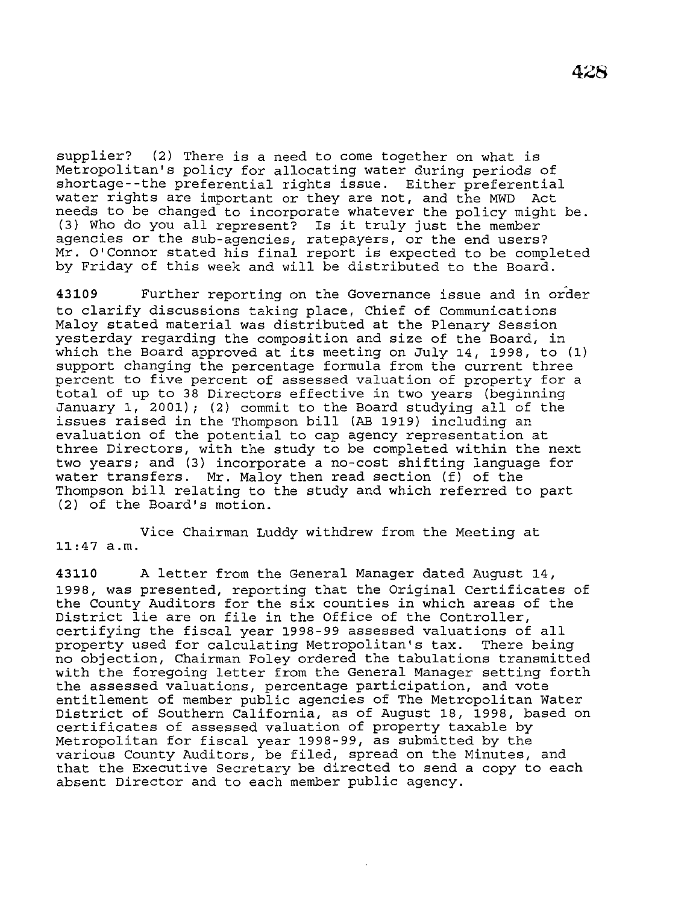supplier? (2) There is a need to come together on what is Metropolitan's policy for allocating water during periods of shortage--the preferential rights issue. Either preferential water rights are important or they are not, and the MWD Act needs to be changed to incorporate whatever the policy might be. (3) Who do you all represent? Is it truly just the member agencies or the sub-agencies, ratepayers, or the end users? Mr. O'Connor stated his final report is expected to be completed by Friday of this week and will be distributed to the Board.

**43109** Further reporting on the Governance issue and in order to clarify discussions taking place, Chief of Communications Maloy stated material was distributed at the Plenary Session yesterday regarding the composition and size of the Board, in which the Board approved at its meeting on July 14, 1998, to (1) support changing the percentage formula from the current three percent to five percent of assessed valuation of property for a total of up to 38 Directors effective in two years (beginning January 1, 2001); (2) commit to the Board studying all of the issues raised in the Thompson bill (AB 1919) including an evaluation of the potential to cap agency representation at three Directors, with the study to be completed within the next two years; and (3) incorporate a no-cost shifting language for water transfers. Mr. Maloy then read section (f) of the Thompson bill relating to the study and which referred to part (2) of the Board's motion.

Vice Chairman Luddy withdrew from the Meeting at 11:47 a.m.

**43110** A letter from the General Manager dated August 14, 1998, was presented, reporting that the Original Certificates of the County Auditors for the six counties in which areas of the District lie are on file in the Office of the Controller, certifying the fiscal year 1998-99 assessed valuations of all<br>property used for calculating Metropolitan's tax. There being property used for calculating Metropolitan's tax. no objection, Chairman Foley ordered the tabulations transmitted with the foregoing letter from the General Manager setting forth the assessed valuations, percentage participation, and vote entitlement of member public agencies of The Metropolitan Water District of Southern California, as of August 18, 1998, based on certificates of assessed valuation of property taxable by Metropolitan for fiscal year 1998-99, as submitted by the various County Auditors, be filed, spread on the Minutes, and that the Executive Secretary be directed to send a copy to each absent Director and to each member public agency.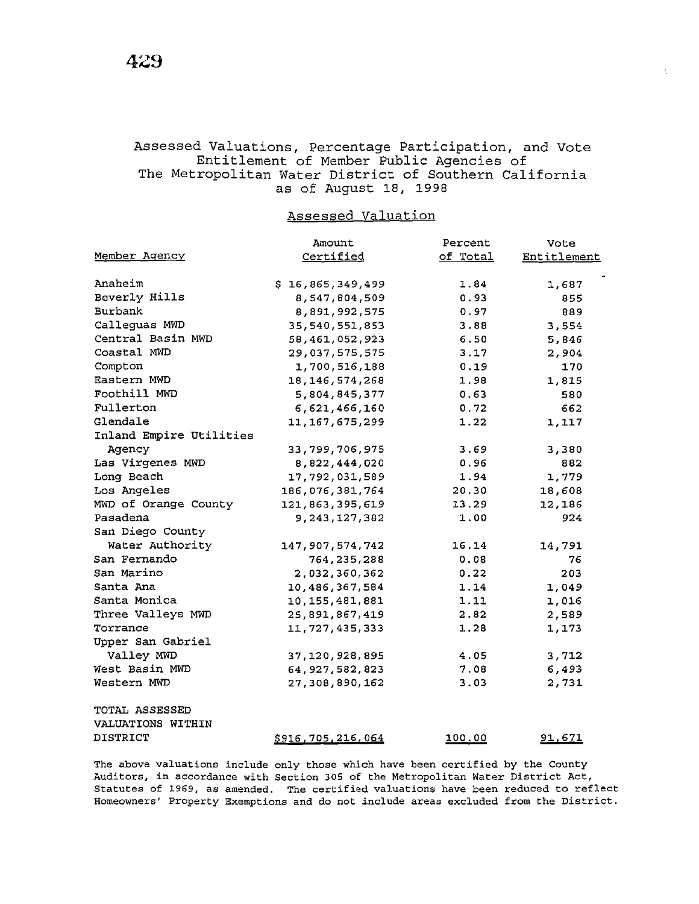# Assessed Valuations, Percentage Participation, and Vote Entitlement of Member Public Agencies of The Metropolitan Water District of Southern California as of August 18, 1998

 $\ell$ 

## Assessed Valuation

|                         | Amount                   | Percent  | Vote          |
|-------------------------|--------------------------|----------|---------------|
| Member Agency           | Certified                | of Total | Entitlement   |
|                         |                          |          |               |
| Anaheim                 | \$16,865,349,499         | 1.84     | 1,687         |
| Beverly Hills           | 8,547,804,509            | 0.93     | 855           |
| Burbank                 | 8,891,992,575            | 0.97     | 889           |
| Calleguas MWD           | 35, 540, 551, 853        | 3.88     | 3,554         |
| Central Basin MWD       | 58, 461, 052, 923        | 6.50     | 5,846         |
| Coastal MWD             | 29,037,575,575           | 3.17     | 2,904         |
| Compton                 | 1,700,516,188            | 0.19     | 170           |
| Eastern MWD             | 18, 146, 574, 268        | 1.98     | 1,815         |
| Foothill MWD            | 5,804,845,377            | 0.63     | 580           |
| Fullerton               | 6,621,466,160            | 0.72     | 662           |
| Glendale                | 11, 167, 675, 299        | 1.22     | 1,117         |
| Inland Empire Utilities |                          |          |               |
| Agency                  | 33,799,706,975           | 3.69     | 3,380         |
| Las Virgenes MWD        | 8,822,444,020            | 0.96     | 882           |
| Long Beach              | 17,792,031,589           | 1.94     | 1,779         |
| Los Angeles             | 186,076,381,764          | 20.30    | 18,608        |
| MWD of Orange County    | 121,863,395,619          | 13.29    | 12,186        |
| Pasadena                | 9, 243, 127, 382         | 1.00     | 924           |
| San Diego County        |                          |          |               |
| Water Authority         | 147, 907, 574, 742       | 16.14    | 14,791        |
| San Fernando            | 764, 235, 288            | 0.08     | 76            |
| San Marino              | 2,032,360,362            | 0.22     | 203           |
| Santa Ana               | 10,486,367,584           | 1.14     | 1,049         |
| Santa Monica            | 10, 155, 481, 881        | 1.11     | 1,016         |
| Three Valleys MWD       | 25,891,867,419           | 2.82     | 2,589         |
| Torrance                | 11,727,435,333           | 1.28     | 1,173         |
| Upper San Gabriel       |                          |          |               |
| Valley MWD              | 37, 120, 928, 895        | 4.05     | 3,712         |
| West Basin MWD          | 64, 927, 582, 823        | 7.08     | 6,493         |
| Western MWD             | 27,308,890,162           | 3.03     | 2,731         |
| TOTAL ASSESSED          |                          |          |               |
| VALUATIONS WITHIN       |                          |          |               |
| DISTRICT                | <u>\$916,705,216,064</u> | 100.00   | <u>91,671</u> |

The above valuations include only those which have been certified by the County Auditors, in accordance with Section 305 of the Metropolitan Water District Act, Statutes of 1969, as amended. The certified valuations have been reduced to reflect Homeowners' Property Exemptions and do not include areas excluded from the District.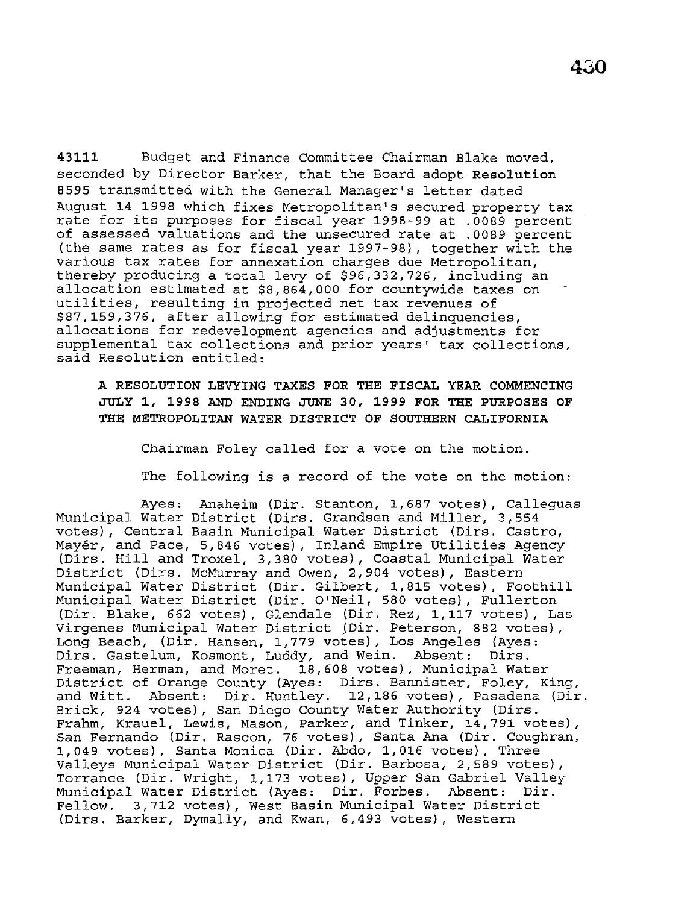**43111** Budget and Finance Committee Chairman Blake moved, seconded by Director Barker, that the Board adopt **Resolution <sup>8595</sup>**transmitted with the General Manager's letter dated August 14 1998 which fixes Metropolitan's secured property tax rate for its purposes for fiscal year 1998-99 at .0089 percent of assessed valuations and the unsecured rate at .0089 percent (the same rates as for fiscal year 1997-98), together with the various tax rates for annexation charges due Metropolitan, thereby producing a total levy of \$96,332,726, including an allocation estimated at \$8,864,000 for countywide taxes on utilities, resulting in projected net tax revenues of \$87,159,376, after allowing for estimated delinquencies, allocations for redevelopment agencies and adjustments for supplemental tax collections and prior years' tax collections, said Resolution entitled:

**A RESOLUTION LEVYING TAXES FOR THE FISCAL YEAR COMMENCING JULY 1, 1998 AND ENDING JUNE 30, 1999 FOR THE PURPOSES OF THE METROPOLITAN WATER DISTRICT OF SOUTHERN CALIFORNIA** 

Chairman Foley called for a vote on the motion.

The following is a record of the vote on the motion:

Ayes: Anaheim (Dir. Stanton, 1,687 votes), Calleguas Municipal Water District (Dirs. Grandsen and Miller, 3,554 votes), Central Basin Municipal Water District (Dirs. Castro, Mayer, and Pace, 5,846 votes), Inland Empire Utilities Agency (Dirs. Hill and Troxel, 3,380 votes), Coastal Municipal Water District (Dirs. McMurray and Owen, 2,904 votes), Eastern Municipal Water District (Dir. Gilbert, 1,815 votes), Foothill Municipal Water District (Dir. O'Neil, 580 votes), Fullerton (Dir. Blake, 662 votes), Glendale (Dir. Rez, 1,117 votes), Las Virgenes Municipal Water District (Dir. Peterson, 882 votes), Long Beach, (Dir. Hansen, 1,779 votes), Los Angeles (Ayes: Dirs. Gastelum, Kosmont, Luddy, and Wein. Absent: Dirs. Freeman, Herman, and Moret. 18,608 votes), Municipal Water District of Orange County (Ayes: Dirs. Bannister, Foley, King, and Witt. Absent: Dir. Huntley. 12,186 votes), Pasadena (Dir. Brick, 924 votes), San Diego County Water Authority (Dirs. Frahm, Krauel, Lewis, Mason, Parker, and Tinker, 14,791 votes), San Fernando (Dir. Rascon, 76 votes), Santa Ana (Dir. Coughran, 1,049 votes), Santa Monica (Dir. Abdo, 1,016 votes), Three Valleys Municipal Water District (Dir. Barbosa, 2,589 votes), Torrance (Dir. Wright, 1,173 votes), Upper San Gabriel Valley Municipal Water District (Ayes: Dir. Forbes. Absent: Dir. Fellow. 3,712 votes), West Basin Municipal Water District (Dirs. Barker, Dymally, and Kwan, 6,493 votes), Western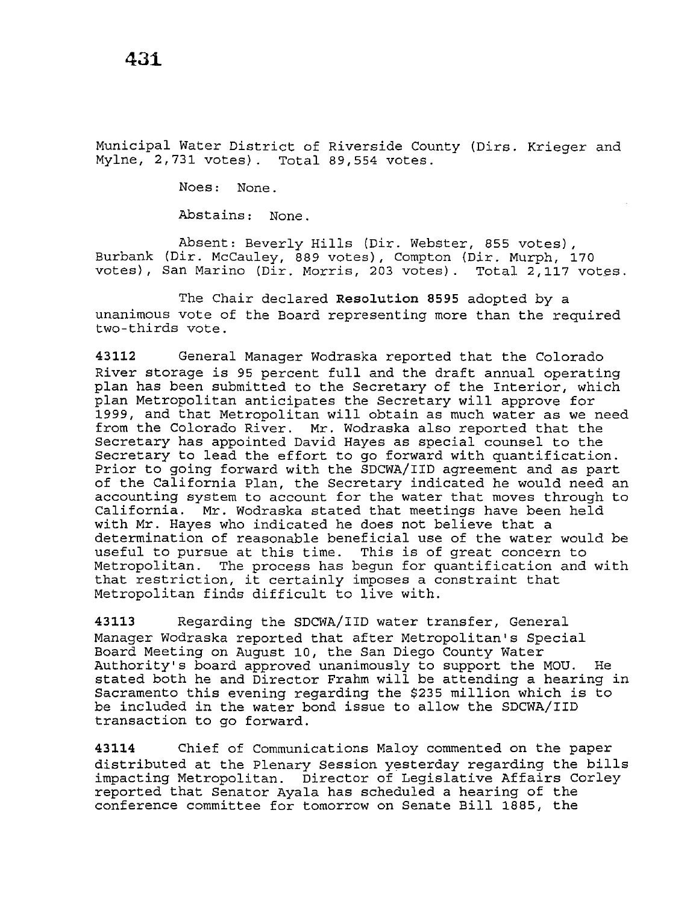Municipal Water District of Riverside County (Dirs. Krieger and Mylne, 2,731 votes). Total 89,554 votes.

Noes: None.

Abstains: None.

Absent: Beverly Hills (Dir. Webster, 855 votes), Burbank (Dir. McCauley, 889 votes), Compton (Dir. Murph, 170 votes), San Marino (Dir. Morris, 203 votes). Total 2,117 votes.

The Chair declared **Resolution 8595** adopted by a unanimous vote of the Board representing more than the required two-thirds vote.

**43112** General Manager Wodraska reported that the Colorado River storage is 95 percent full and the draft annual operating plan has been submitted to the Secretary of the Interior, which plan Metropolitan anticipates the Secretary will approve for 1999, and that Metropolitan will obtain as much water as we need from the Colorado River. Mr. Wodraska also reported that the Secretary has appointed David Hayes as special counsel to the Secretary to lead the effort to go forward with quantification. Prior to going forward with the SDCWA/IID agreement and as part of the California Plan, the Secretary indicated he would need an accounting system to account for the water that moves through to California. Mr. Wodraska stated that meetings have been held with Mr. Hayes who indicated he does not believe that a determination of reasonable beneficial use of the water would be useful to pursue at this time. This is of great concern to Metropolitan. The process has begun for quantification and with that restriction, it certainly imposes a constraint that Metropolitan finds difficult to 1ive with.

**43113** Regarding the SDCWA/IID water transfer, General Manager Wodraska reported that after Metropolitan's Special Board Meeting on August 10, the San Diego County Water Authority's board approved unanimously to support the MOU. He stated both he and Director Frahm will be attending a hearing in Sacramento this evening regarding the \$235 million which is to be included in the water bond issue to allow the SDCWA/IID transaction to go forward.

**43114** Chief of Communications Maloy commented on the paper distributed at the Plenary Session yesterday regarding the bills impacting Metropolitan. Director of Legislative Affairs Corley reported that Senator Ayala has scheduled a hearing of the conference committee for tomorrow on Senate Bill 1885, the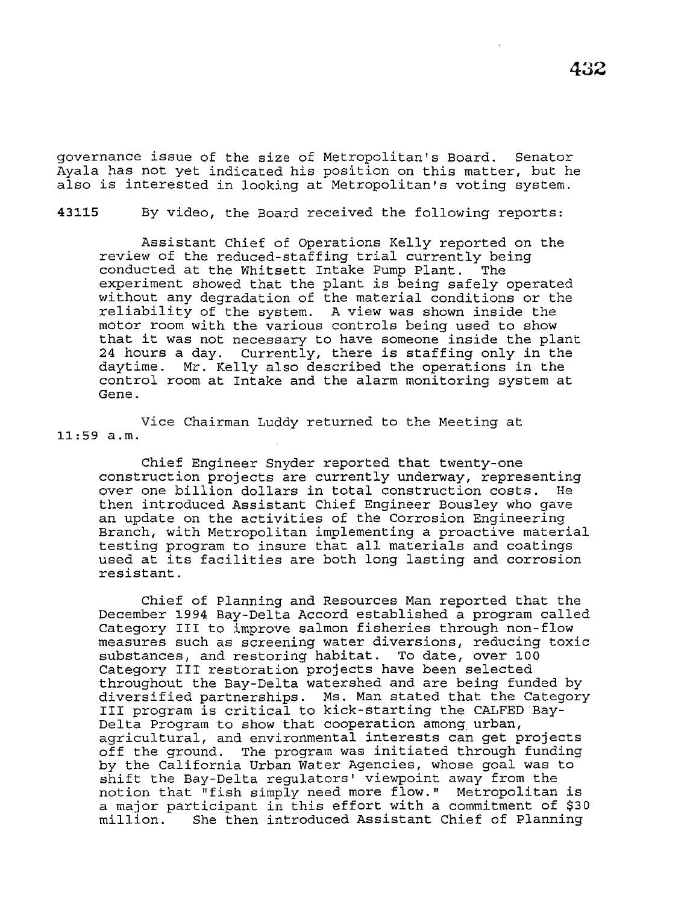governance issue of the size of Metropolitan's Board. Senator Ayala has not yet indicated his position on this matter, but he also is interested in looking at Metropolitan's voting system.

43115 By video, the Board received the following reports:

Assistant Chief of Operations Kelly reported on the review of the reduced-staffing trial currently being conducted at the Whitsett Intake Pump Plant. experiment showed that the plant is being safely operated without any degradation of the material conditions or the reliability of the system. A view was shown inside the motor room with the various controls being used to show that it was not necessary to have someone inside the plant 24 hours a day. Currently, there is staffing only in the daytime. Mr. Kelly also described the operations in the control room at Intake and the alarm monitoring system at Gene.

Vice Chairman Luddy returned to the Meeting at 11:59 a.m.

Chief Engineer Snyder reported that twenty-one construction projects are currently underway, representing over one billion dollars in total construction costs. He then introduced Assistant Chief Engineer Bousley who gave an update on the activities of the Corrosion Engineering Branch, with Metropolitan implementing a proactive material testing program to insure that all materials and coatings used at its facilities are both long lasting and corrosion resistant.

Chief of Planning and Resources Man reported that the December 1994 Bay-Delta Accord established a program called Category III to improve salmon fisheries through non-flow measures such as screening water diversions, reducing *toxic*  substances, and restoring habitat. To date, over 100 Category III' restoration projects have been selected throughout the Bay-Delta watershed and are being funded by diversified partnerships. Ms. Man stated that the Category III program is critical to kick-starting the CALFED Bay-Delta Program to show that cooperation among urban, agricultural, and environmental interests can get projects<br>off the ground. The program was initiated through funding The program was initiated through funding by the California Urban Water Agencies, whose goal was to shift the Bay-Delta regulators' viewpoint away from the notion that "fish simply need more flow." Metropolitan is a major participant in this effort with a commitment of \$30 million. She then introduced Assistant Chief of Planning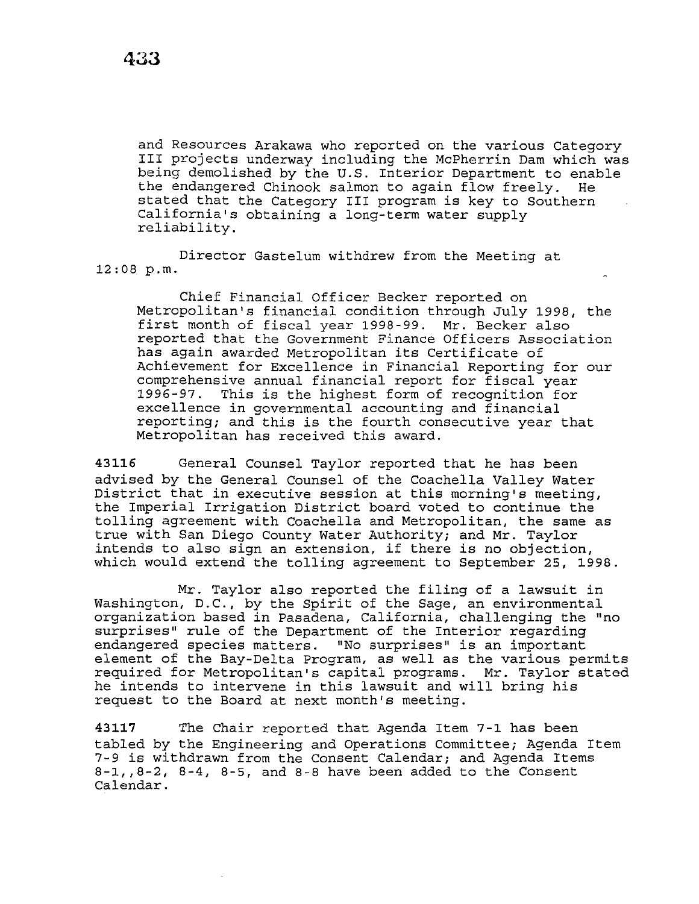and Resources Arakawa who reported on the various Category III projects underway including the McPherrin Dam which was being demolished by the U.S. Interior Department to enable the endangered Chinook salmon to again flow freely. He stated that the Category III program is key to Southern California's obtaining a long-term water supply reliability.

Director Gastelum withdrew from the Meeting at 12:08 p.m.

Chief Financial Officer Becker reported on Metropolitan's financial condition through July 1998, the first month of fiscal year 1998-99. Mr. Becker also reported that the Government Finance Officers Association has again awarded Metropolitan its Certificate of Achievement for Excellence in Financial Reporting for our comprehensive annual financial report for fiscal year 1996-97. This is the highest form of recognition for excellence in governmental accounting and financial reporting; and this is the fourth consecutive year that Metropolitan has received this award.

**43116** General Counsel Taylor reported that he has been advised by the General Counsel of the Coachella Valley Water District that in executive session at this morning's meeting, the Imperial Irrigation District board voted to continue the tolling agreement with Coachella and Metropolitan, the same as true with San Diego County Water Authority; and Mr. Taylor intends to also sign an extension, if there is no objection, which would extend the tolling agreement to September 25, 1998.

Mr. Taylor also reported the filing of a lawsuit in Washington, D.C., by the Spirit of the Sage, an environmental organization based in Pasadena, California, challenging the "no surprises" rule of the Department of the Interior regarding endangered species matters. "No surprises" is an important element of the Bay-Delta Program, as well as the various permits required for Metropolitan's capital programs. Mr. Taylor stated he intends to intervene in this lawsuit and will bring his request to the Board at next month's meeting.

**43117** The Chair reported that Agenda Item 7-1 has been tabled by the Engineering and Operations Committee; Agenda Item 7-9 is withdrawn from the Consent Calendar; and Agenda Items 8-1,,8-2, 8-4, 8-5, and 8-8 have been added to the Consent Calendar.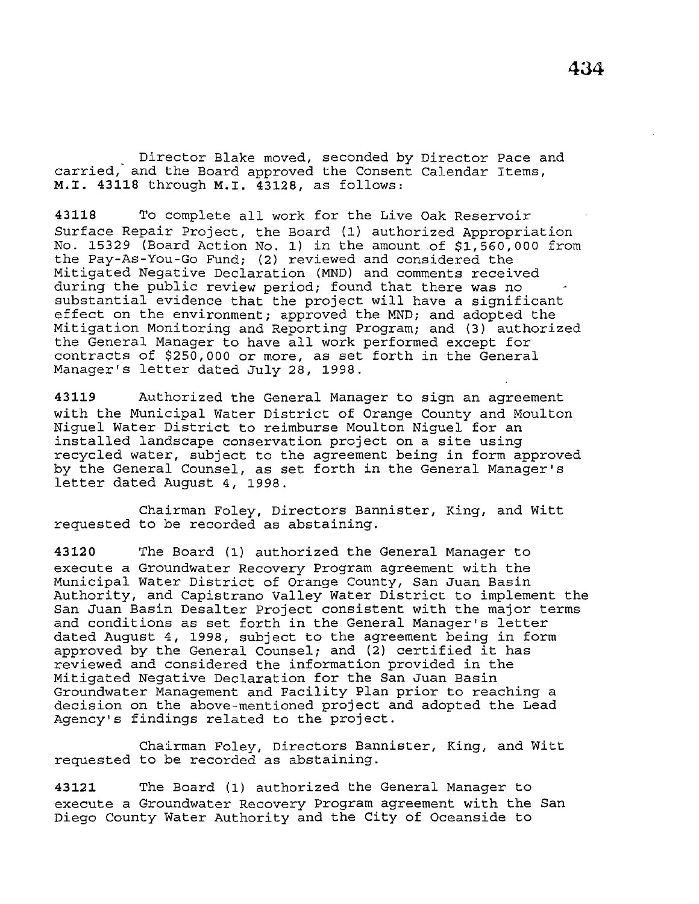Director Blake moved, seconded by Director Pace and carried, and the Board approved the Consent Calendar Items, **M.I. 43118** through **M.I. 43128,** as follows:

**43118** To complete all work for the Live Oak Reservoir Surface Repair Project, the Board (1) authorized Appropriation No. 15329 (Board Action No. 1) in the amount of \$1,560,000 from the Pay-As-You-Go Fund; (2) reviewed and considered the Mitigated Negative Declaration (MND) and comments received during the public review period; found that there was no substantial evidence that the project will have a significant effect on the environment; approved the *MND;* and adopted the Mitigation Monitoring and Reporting Program; and (3) authorized the General Manager to have all work performed except for contracts of \$250,000 or *more,* as set forth in the General Manager's letter dated July *28,* 1998.

**43119** Authorized the General Manager to sign an agreement with the Municipal Water District of Orange County and Moulton Niguel Water District to reimburse Moulton Niguel for an installed landscape conservation project on a site using recycled water, subject to the agreement being in form approved by the General Counsel, as set forth in the General Manager's letter dated August 4, 1998.

Chairman Foley, Directors Bannister, King, and Witt requested to be recorded as abstaining.

**43120** The Board (1) authorized the General Manager to execute a Groundwater Recovery Program agreement with the Municipal Water District of Orange County, San Juan Basin Authority, and Capistrano Valley Water District to implement the San Juan Basin Desalter Project consistent with the major terms and conditions as set forth in the General Manager's letter dated August 4, 1998, subject to the agreement being in form approved by the General Counsel; and (2) certified it has reviewed and considered the information provided in the Mitigated Negative Declaration for the San Juan Basin Groundwater Management and Facility Plan prior to reaching a decision on the above-mentioned project and adopted the Lead Agency's findings related to the project.

Chairman Foley, Directors Bannister, King, and Witt requested to be recorded as abstaining.

**43121** The Board (1) authorized the General Manager to execute a Groundwater Recovery Program agreement with the San Diego County Water Authority and the City of Oceanside to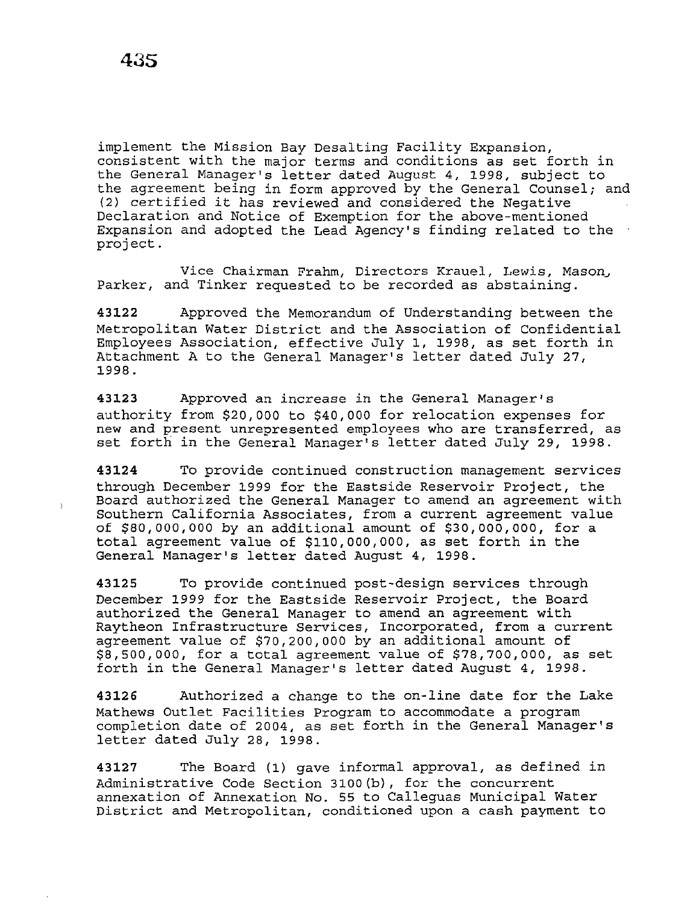implement the Mission Bay Desalting Facility Expansion, consistent with the major terms and conditions as set forth in the General Manager's letter dated August 4, 1998, subject to the agreement being in form approved by the General Counsel; and (2) certified it has reviewed and considered the Negative Declaration and Notice of Exemption for the above-mentioned Expansion and adopted the Lead Agency's finding related to the project.

Vice Chairman Frahm, Directors Krauel, Lewis, Mason, Parker, and Tinker requested to be recorded as abstaining.

**43122** Approved the Memorandum of Understanding between the Metropolitan Water District and the Association of Confidential Employees Association, effective July 1, 1998, as set forth in Attachment A to the General Manager's letter dated July 27, 1998.

**43123** Approved an increase in the General Manager's authority from \$20,000 to \$40,000 for relocation expenses for new and present unrepresented employees who are transferred, as set forth in the General Manager's letter dated July 29, 1998.

**43124** To provide continued construction management services through December 1999 for the Eastside Reservoir Project, the Board authorized the General Manager to amend an agreement with Southern California Associates, from a current agreement value of \$80,000,000 by an additional amount of \$30,000,000, for a total agreement value of \$110,000,000, as set forth in the General Manager's letter dated August 4, 1998.

**43125** To provide continued post-design services through December 1999 for the Eastside Reservoir Project, the Board authorized the General Manager to amend an agreement with Raytheon Infrastructure Services, Incorporated, from a current agreement value of \$70,200,000 by an additional amount of \$8,500,000, for a total agreement value of \$78,700,000, as set forth in the General Manager's letter dated August 4, 1998.

**43126** Authorized a change to the on-line date for the Lake Mathews Outlet Facilities Program to accommodate a program completion date of 2004, as set forth in the General Manager's letter dated July 28, 1998.

**43127** The Board (1) gave informal approval, as defined in Administrative Code Section 3100(b), for the concurrent annexation of Annexation No. 55 to Calleguas Municipal Water District and Metropolitan, conditioned upon a cash payment to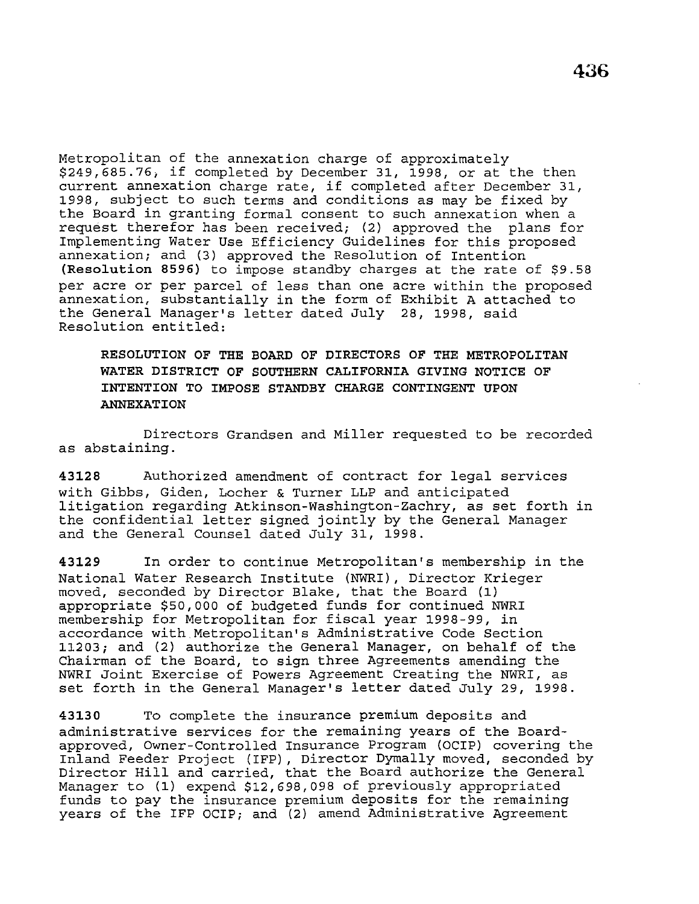Metropolitan of the annexation charge of approximately \$249,685.76; if completed by December 31, 1998, or at the then current annexation charge rate, if completed after December 31, 1998, subject to such terms and conditions as may be fixed by the Board in granting formal consent to such annexation when a request therefor has been received; (2) approved the plans for Implementing Water Use Efficiency Guidelines for this proposed annexation; and (3) approved the Resolution of Intention **(Resolution 8596)** to impose standby charges at the rate of \$9.58 per acre or per parcel of less than one acre within the proposed annexation, substantially in the form of Exhibit A attached to the General Manager's letter dated July 28, 1998, said Resolution entitled:

**RESOLUTION OF THE BOARD OF DIRECTORS OF THE METROPOLITAN WATER DISTRICT OF SOUTHERN CALIFORNIA GIVING NOTICE OF INTENTION TO IMPOSE STANDBY CHARGE CONTINGENT UPON ANNEXATION** 

Directors Grandsen and Miller requested to be recorded as abstaining.

**43128** Authorized amendment of contract for legal services with Gibbs, Giden, Locher & Turner LLP and anticipated litigation regarding Atkinson-Washington-Zachry, as set forth in the confidential letter signed jointly by the General Manager and the General Counsel dated July 31, 1998.

**43129** In order to continue Metropolitan's membership in the National Water Research Institute (NWRI), Director Krieger moved, seconded by Director Blake, that the Board (1) appropriate \$50,000 of budgeted funds for continued NWRI membership for Metropolitan for fiscal year 1998-99, in accordance with Metropolitan's Administrative Code Section 11203; and (2) authorize the General Manager, on behalf of the Chairman of the Board, to sign three Agreements amending the NWRI Joint Exercise of Powers Agreement Creating the NWRI, as set forth in the General Manager's letter dated July 29, 1998.

**43130** To complete the insurance premium deposits and administrative services for the remaining years of the Boardapproved, Owner-Controlled Insurance Program (OCIP) covering the Inland Feeder Project (IFP), Director Dymally moved, seconded by Director Hill and carried, that the Board authorize the General Manager to (1) expend \$12,698,098 of previously appropriated funds to pay the insurance premium deposits for the remaining years of the IFP OCIP; and (2) amend Administrative Agreement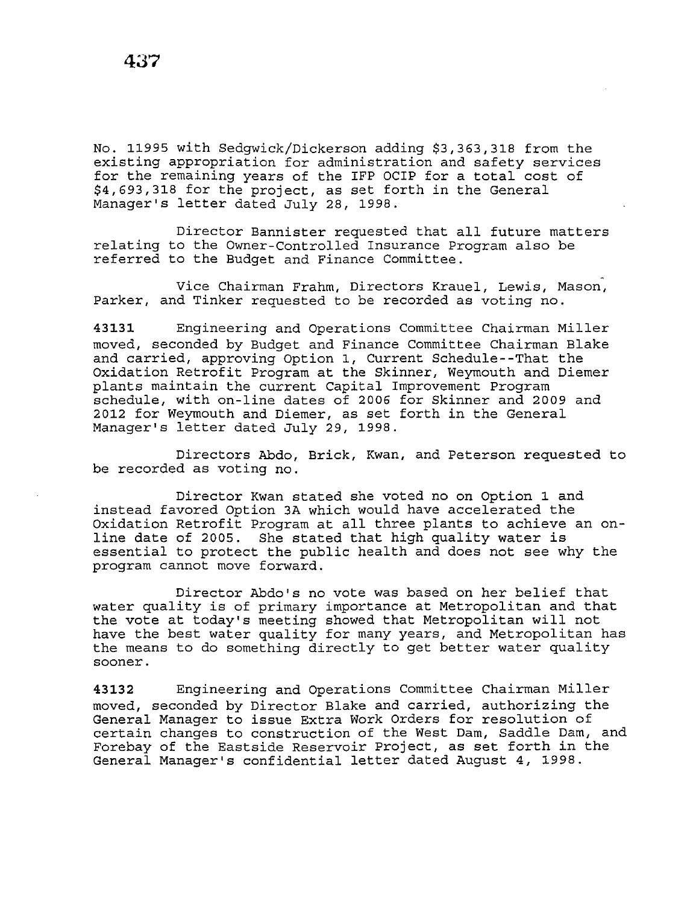No. 11995 with Sedgwick/Dickerson adding \$3,363,318 from the existing appropriation for administration and safety services for the remaining years of the IFP OCIP for a total cost of \$4,693,318 for the project, as set forth in the General Manager's letter dated July 28, 1998.

Director Bannister requested that all future matters relating to the Owner-Controlled Insurance Program also be referred to the Budget and Finance Committee.

Vice Chairman Frahm, Directors Krauel, Lewis, Mason, Parker, and Tinker requested to be recorded as voting no.

**43131** Engineering and Operations Committee Chairman Miller moved, seconded by Budget and Finance Committee Chairman Blake and carried, approving Option 1, Current Schedule--That the Oxidation Retrofit Program at the Skinner, Weymouth and Diemer plants maintain the current Capital Improvement Program schedule, with on-line dates of 2006 for Skinner and 2009 and 2012 for Weymouth and Diemer, as set forth in the General Manager's letter dated July 29, 1998.

Directors Abdo, Brick, Kwan, and Peterson requested to be recorded as voting no.

Director Kwan stated she voted no on Option 1 and instead favored Option 3A which would have accelerated the Oxidation Retrofit Program at all three plants to achieve an online date of 2005. She stated that high quality water is essential to protect the public health and does not see why the program cannot move forward.

Director Abdo's no vote was based on her belief that water quality is of primary importance at Metropolitan and that the vote at today•s meeting showed that Metropolitan will not have the best water quality for many years, and Metropolitan has the means to do something directly to get better water quality sooner.

**43132** Engineering and Operations Committee Chairman Miller moved, seconded by Director Blake and carried, authorizing the General Manager to issue Extra Work Orders for resolution of certain changes to construction of the West Dam, Saddle Dam, and Forebay of the Eastside Reservoir Project, as set forth in the General Manager's confidential letter dated August 4, 1998.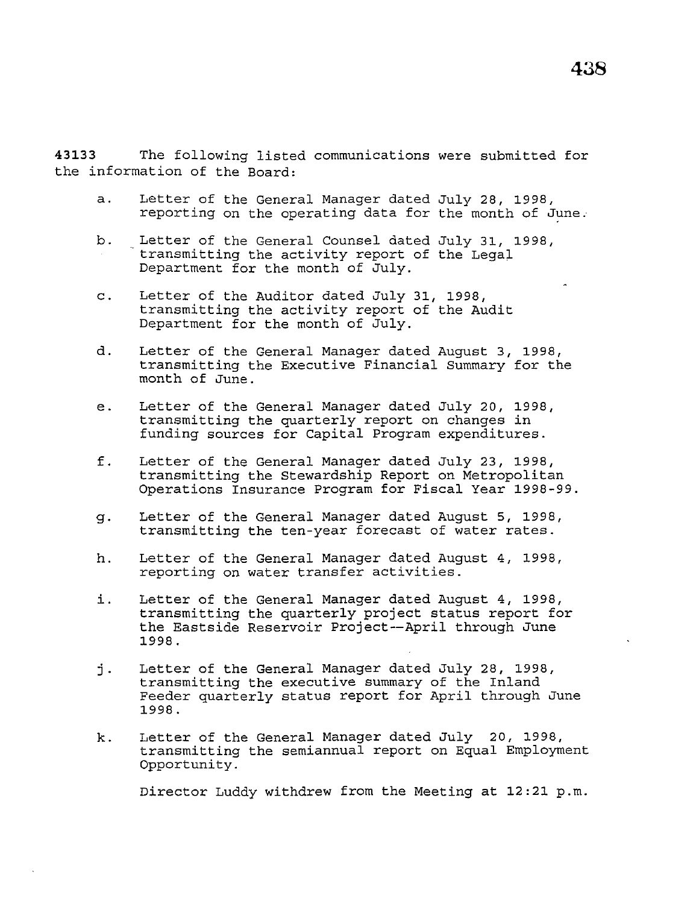**43133** The following listed communications were submitted for the information of the Board:

- a. Letter of the General Manager dated July 28, 1998, reporting on the operating data for the month of June.
- b. Letter of the General Counsel dated July 31, 1998,<br>transmitting the activity report of the Legal Department for the month of July.
- c. Letter of the Auditor dated July 31, 1998, transmitting the activity report of the Audit Department for the month of July.
- d. Letter of the General Manager dated August 3, 1998, transmitting the Executive Financial Summary for the month of June.
- e. Letter of the General Manager dated July 20, 1998, transmitting the quarterly report on changes in funding sources for Capital Program expenditures.
- f. Letter of the General Manager dated July 23, 1998, transmitting the Stewardship Report on Metropolitan Operations Insurance Program for Fiscal Year 1998-99.
- g. Letter of the General Manager dated August 5, 1998, transmitting the ten-year forecast of water rates.
- h. Letter of the General Manager dated August 4, 1998, reporting on water transfer activities.
- i. Letter of the General Manager dated August 4, 1998, transmitting the quarterly project status report for the Eastside Reservoir Project--April through June 1998.
- j. Letter of the General Manager dated July 28, 1998, transmitting the executive summary of the Inland Feeder quarterly status report for April through June 1998.
- k. Letter of the General Manager dated July 20, 1998, transmitting the semiannual report on Equal Employment Opportunity.

Director Luddy withdrew from the Meeting at 12:21 p.m.